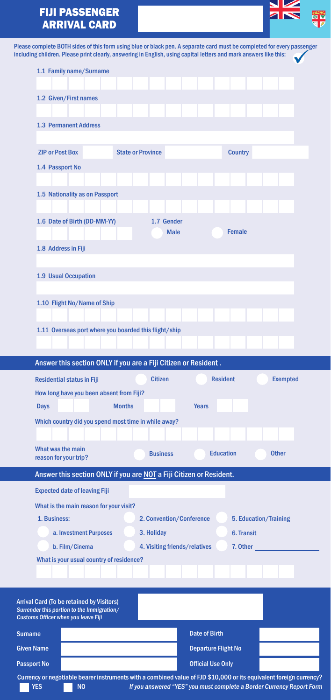## FIJI PASSENGER ARRIVAL CARD



| Please complete BOTH sides of this form using blue or black pen. A separate card must be completed for every passenger<br>including children. Please print clearly, answering in English, using capital letters and mark answers like this: |  |
|---------------------------------------------------------------------------------------------------------------------------------------------------------------------------------------------------------------------------------------------|--|
| 1.1 Family name/Surname                                                                                                                                                                                                                     |  |
| 1.2 Given/First names                                                                                                                                                                                                                       |  |
|                                                                                                                                                                                                                                             |  |
| <b>1.3 Permanent Address</b>                                                                                                                                                                                                                |  |
|                                                                                                                                                                                                                                             |  |
| <b>ZIP or Post Box</b><br><b>State or Province</b><br><b>Country</b>                                                                                                                                                                        |  |
| 1.4 Passport No                                                                                                                                                                                                                             |  |
|                                                                                                                                                                                                                                             |  |
| 1.5 Nationality as on Passport                                                                                                                                                                                                              |  |
|                                                                                                                                                                                                                                             |  |
| 1.6 Date of Birth (DD-MM-YY)<br>1.7 Gender<br><b>Female</b><br><b>Male</b>                                                                                                                                                                  |  |
|                                                                                                                                                                                                                                             |  |
| 1.8 Address in Fiji                                                                                                                                                                                                                         |  |
| 1.9 Usual Occupation                                                                                                                                                                                                                        |  |
|                                                                                                                                                                                                                                             |  |
| 1.10 Flight No/Name of Ship                                                                                                                                                                                                                 |  |
|                                                                                                                                                                                                                                             |  |
| 1.11 Overseas port where you boarded this flight/ship                                                                                                                                                                                       |  |
|                                                                                                                                                                                                                                             |  |
|                                                                                                                                                                                                                                             |  |
|                                                                                                                                                                                                                                             |  |
| Answer this section ONLY if you are a Fiji Citizen or Resident.                                                                                                                                                                             |  |
| <b>Residential status in Fiji</b><br><b>Citizen</b><br><b>Resident</b><br><b>Exempted</b>                                                                                                                                                   |  |
| How long have you been absent from Fiji?<br><b>Months</b><br><b>Years</b><br><b>Days</b>                                                                                                                                                    |  |
| Which country did you spend most time in while away?                                                                                                                                                                                        |  |
|                                                                                                                                                                                                                                             |  |
| What was the main                                                                                                                                                                                                                           |  |
| <b>Business</b><br><b>Education</b><br><b>Other</b><br>reason for your trip?                                                                                                                                                                |  |
| Answer this section ONLY if you are NOT a Fiji Citizen or Resident.                                                                                                                                                                         |  |
| <b>Expected date of leaving Fiji</b>                                                                                                                                                                                                        |  |
| What is the main reason for your visit?                                                                                                                                                                                                     |  |
| 1. Business:<br>2. Convention/Conference<br>5. Education/Training                                                                                                                                                                           |  |
| 3. Holiday<br>6. Transit<br>a. Investment Purposes                                                                                                                                                                                          |  |
| b. Film/Cinema<br>4. Visiting friends/relatives<br>7. Other                                                                                                                                                                                 |  |
| What is your usual country of residence?                                                                                                                                                                                                    |  |
|                                                                                                                                                                                                                                             |  |
| <b>Arrival Card (To be retained by Visitors)</b><br>Surrender this portion to the Immigration/<br>Customs Officer when you leave Fiji                                                                                                       |  |
| <b>Date of Birth</b><br><b>Surname</b>                                                                                                                                                                                                      |  |
| <b>Given Name</b><br><b>Departure Flight No</b>                                                                                                                                                                                             |  |
| <b>Passport No</b><br><b>Official Use Only</b>                                                                                                                                                                                              |  |
| Currency or negotiable bearer instruments with a combined value of FJD \$10,000 or its equivalent foreign currency?<br><b>YES</b><br><b>NO</b><br>If you answered "YES" you must complete a Border Currency Report Form                     |  |